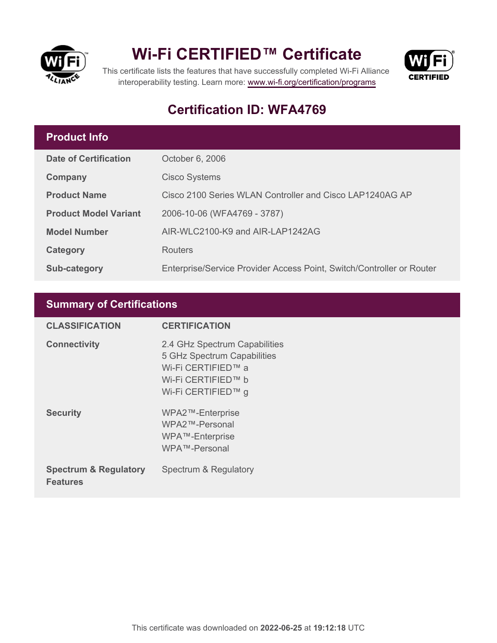

## **Wi-Fi CERTIFIED™ Certificate**



This certificate lists the features that have successfully completed Wi-Fi Alliance interoperability testing. Learn more:<www.wi-fi.org/certification/programs>

### **Certification ID: WFA4769**

#### **Product Info**

| <b>Date of Certification</b> | October 6, 2006                                                       |
|------------------------------|-----------------------------------------------------------------------|
| Company                      | <b>Cisco Systems</b>                                                  |
| <b>Product Name</b>          | Cisco 2100 Series WLAN Controller and Cisco LAP1240AG AP              |
| <b>Product Model Variant</b> | 2006-10-06 (WFA4769 - 3787)                                           |
| <b>Model Number</b>          | AIR-WLC2100-K9 and AIR-LAP1242AG                                      |
| Category                     | Routers                                                               |
| <b>Sub-category</b>          | Enterprise/Service Provider Access Point, Switch/Controller or Router |

#### **Summary of Certifications**

| <b>CLASSIFICATION</b>                               | <b>CERTIFICATION</b>                                                                                                           |
|-----------------------------------------------------|--------------------------------------------------------------------------------------------------------------------------------|
| <b>Connectivity</b>                                 | 2.4 GHz Spectrum Capabilities<br>5 GHz Spectrum Capabilities<br>Wi-Fi CERTIFIED™ a<br>Wi-Fi CERTIFIED™ b<br>Wi-Fi CERTIFIED™ g |
| <b>Security</b>                                     | WPA2™-Enterprise<br>WPA2™-Personal<br>WPA™-Enterprise<br>WPA™-Personal                                                         |
| <b>Spectrum &amp; Regulatory</b><br><b>Features</b> | Spectrum & Regulatory                                                                                                          |